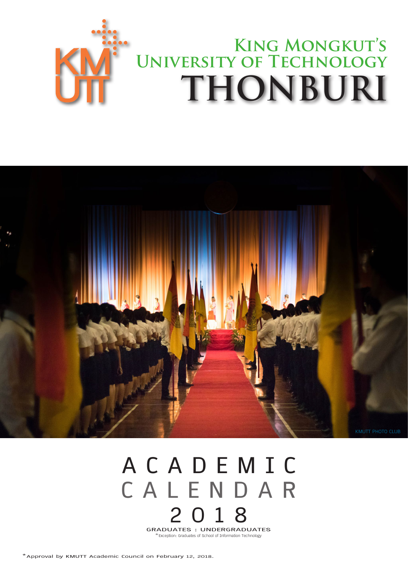



## **A C A D E M I C C A L E N D A R 2 0 1 8 GRADUATES : UNDERGRADUATES**

\*Exception: Graduates of School of Information Technology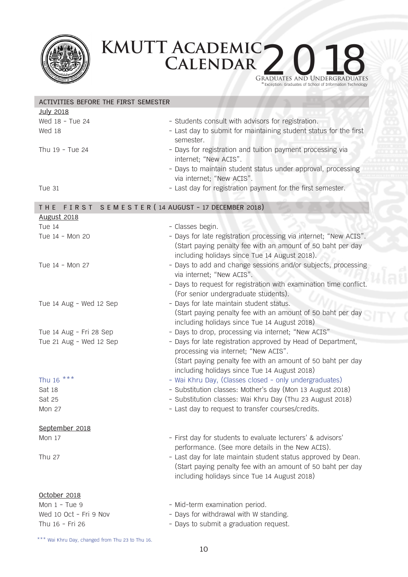



\* Exception: Graduates of School of Information Technology

| ACTIVITIES BEFORE THE FIRST SEMESTER                 |                                                                    |  |  |  |
|------------------------------------------------------|--------------------------------------------------------------------|--|--|--|
| <b>July 2018</b>                                     |                                                                    |  |  |  |
| Wed 18 - Tue 24                                      | - Students consult with advisors for registration.                 |  |  |  |
| Wed 18                                               | - Last day to submit for maintaining student status for the first  |  |  |  |
|                                                      | semester.                                                          |  |  |  |
| Thu 19 - Tue 24                                      | - Days for registration and tuition payment processing via         |  |  |  |
|                                                      | internet; "New ACIS".                                              |  |  |  |
|                                                      |                                                                    |  |  |  |
|                                                      | - Days to maintain student status under approval, processing       |  |  |  |
|                                                      | via internet; "New ACIS".                                          |  |  |  |
| <b>Tue 31</b>                                        | - Last day for registration payment for the first semester.        |  |  |  |
| FIRST SEMESTER (14 AUGUST - 17 DECEMBER 2018)<br>THE |                                                                    |  |  |  |
| <b>August 2018</b>                                   |                                                                    |  |  |  |
| Tue 14                                               | - Classes begin.                                                   |  |  |  |
| Tue 14 - Mon 20                                      | - Days for late registration processing via internet; "New ACIS".  |  |  |  |
|                                                      | (Start paying penalty fee with an amount of 50 baht per day        |  |  |  |
|                                                      |                                                                    |  |  |  |
|                                                      | including holidays since Tue 14 August 2018).                      |  |  |  |
| Tue 14 - Mon 27                                      | - Days to add and change sessions and/or subjects, processing      |  |  |  |
|                                                      | via internet; "New ACIS".                                          |  |  |  |
|                                                      | - Days to request for registration with examination time conflict. |  |  |  |
|                                                      | (For senior undergraduate students).                               |  |  |  |
| Tue 14 Aug - Wed 12 Sep                              | - Days for late maintain student status.                           |  |  |  |
|                                                      | (Start paying penalty fee with an amount of 50 baht per day        |  |  |  |
|                                                      | including holidays since Tue 14 August 2018)                       |  |  |  |
| Tue 14 Aug - Fri 28 Sep                              | - Days to drop, processing via internet; "New ACIS"                |  |  |  |
| Tue 21 Aug - Wed 12 Sep                              | - Days for late registration approved by Head of Department,       |  |  |  |
|                                                      | processing via internet; "New ACIS".                               |  |  |  |
|                                                      | (Start paying penalty fee with an amount of 50 baht per day        |  |  |  |
|                                                      | including holidays since Tue 14 August 2018)                       |  |  |  |
| Thu 16 ***                                           | - Wai Khru Day, (Classes closed - only undergraduates)             |  |  |  |
| Sat 18                                               | - Substitution classes: Mother's day (Mon 13 August 2018)          |  |  |  |
|                                                      |                                                                    |  |  |  |
| Sat 25                                               | - Substitution classes: Wai Khru Day (Thu 23 August 2018)          |  |  |  |
| <b>Mon 27</b>                                        | - Last day to request to transfer courses/credits.                 |  |  |  |
| September 2018                                       |                                                                    |  |  |  |
| Mon 17                                               | - First day for students to evaluate lecturers' & advisors'        |  |  |  |
|                                                      | performance. (See more details in the New ACIS).                   |  |  |  |
| Thu 27                                               | - Last day for late maintain student status approved by Dean.      |  |  |  |
|                                                      | (Start paying penalty fee with an amount of 50 baht per day        |  |  |  |
|                                                      |                                                                    |  |  |  |
|                                                      | including holidays since Tue 14 August 2018)                       |  |  |  |
| October 2018                                         |                                                                    |  |  |  |
| Mon $1 -$ Tue $9$                                    | - Mid-term examination period.                                     |  |  |  |
| Wed 10 Oct - Fri 9 Nov                               | - Days for withdrawal with W standing.                             |  |  |  |
| Thu 16 - Fri 26                                      | - Days to submit a graduation request.                             |  |  |  |
|                                                      |                                                                    |  |  |  |

\*\*\* Wai Khru Day, changed from Thu 23 to Thu 16.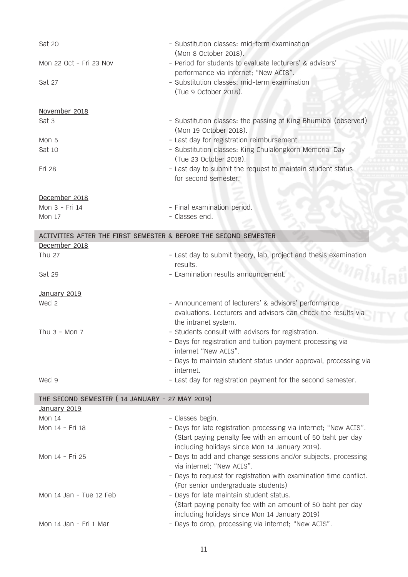| Sat 20                                                           | - Substitution classes: mid-term examination                                                                  |
|------------------------------------------------------------------|---------------------------------------------------------------------------------------------------------------|
|                                                                  | (Mon 8 October 2018).                                                                                         |
| Mon 22 Oct - Fri 23 Nov                                          | - Period for students to evaluate lecturers' & advisors'<br>performance via internet; "New ACIS".             |
| Sat 27                                                           | - Substitution classes: mid-term examination                                                                  |
|                                                                  | (Tue 9 October 2018).                                                                                         |
| November 2018                                                    |                                                                                                               |
| Sat 3                                                            | - Substitution classes: the passing of King Bhumibol (observed)                                               |
|                                                                  | (Mon 19 October 2018).                                                                                        |
| Mon 5                                                            | - Last day for registration reimbursement.                                                                    |
| Sat 10                                                           | - Substitution classes: King Chulalongkorn Memorial Day                                                       |
|                                                                  | (Tue 23 October 2018).                                                                                        |
| Fri 28                                                           | - Last day to submit the request to maintain student status                                                   |
|                                                                  | for second semester.                                                                                          |
| December 2018                                                    |                                                                                                               |
| Mon 3 - Fri 14                                                   | - Final examination period.                                                                                   |
| <b>Mon 17</b>                                                    | - Classes end.                                                                                                |
| ACTIVITIES AFTER THE FIRST SEMESTER & BEFORE THE SECOND SEMESTER |                                                                                                               |
| December 2018                                                    |                                                                                                               |
| Thu 27                                                           | - Last day to submit theory, lab, project and thesis examination                                              |
|                                                                  | results.                                                                                                      |
| Sat 29                                                           | - Examination results announcement.                                                                           |
|                                                                  |                                                                                                               |
| January 2019                                                     |                                                                                                               |
| Wed 2                                                            | - Announcement of lecturers' & advisors' performance                                                          |
|                                                                  | evaluations. Lecturers and advisors can check the results via                                                 |
|                                                                  | the intranet system.                                                                                          |
| Thu $3 -$ Mon 7                                                  | - Students consult with advisors for registration.                                                            |
|                                                                  | - Days for registration and tuition payment processing via<br>internet "New ACIS".                            |
|                                                                  | - Days to maintain student status under approval, processing via                                              |
|                                                                  | internet.                                                                                                     |
| Wed 9                                                            | - Last day for registration payment for the second semester.                                                  |
|                                                                  |                                                                                                               |
| THE SECOND SEMESTER (14 JANUARY - 27 MAY 2019)                   |                                                                                                               |
| January 2019                                                     |                                                                                                               |
| <b>Mon 14</b>                                                    | - Classes begin.                                                                                              |
| Mon 14 - Fri 18                                                  | - Days for late registration processing via internet; "New ACIS".                                             |
|                                                                  | (Start paying penalty fee with an amount of 50 baht per day<br>including holidays since Mon 14 January 2019). |
| Mon 14 - Fri 25                                                  | - Days to add and change sessions and/or subjects, processing                                                 |
|                                                                  | via internet; "New ACIS".                                                                                     |
|                                                                  | - Days to request for registration with examination time conflict.                                            |
|                                                                  | (For senior undergraduate students)                                                                           |
| Mon 14 Jan - Tue 12 Feb                                          | - Days for late maintain student status.                                                                      |
|                                                                  | (Start paying penalty fee with an amount of 50 baht per day                                                   |
|                                                                  | including holidays since Mon 14 January 2019)                                                                 |
| Mon 14 Jan - Fri 1 Mar                                           | - Days to drop, processing via internet; "New ACIS".                                                          |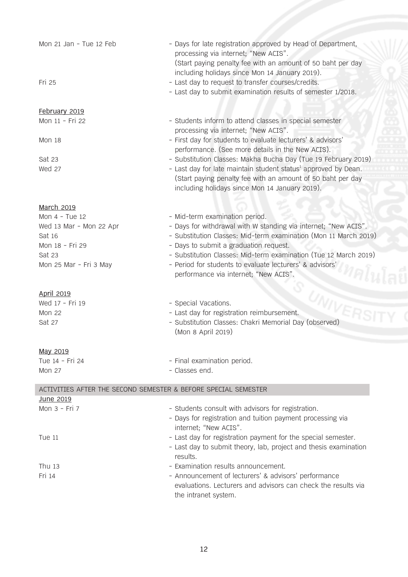| Mon 21 Jan - Tue 12 Feb                                        | - Days for late registration approved by Head of Department,<br>processing via internet; "New ACIS".<br>(Start paying penalty fee with an amount of 50 baht per day<br>including holidays since Mon 14 January 2019). |  |  |  |
|----------------------------------------------------------------|-----------------------------------------------------------------------------------------------------------------------------------------------------------------------------------------------------------------------|--|--|--|
| Fri 25                                                         | - Last day to request to transfer courses/credits.<br>- Last day to submit examination results of semester 1/2018.                                                                                                    |  |  |  |
| February 2019                                                  |                                                                                                                                                                                                                       |  |  |  |
| Mon 11 - Fri 22                                                | - Students inform to attend classes in special semester<br>processing via internet; "New ACIS".                                                                                                                       |  |  |  |
| Mon 18                                                         | - First day for students to evaluate lecturers' & advisors'<br>performance. (See more details in the New ACIS).                                                                                                       |  |  |  |
| Sat 23                                                         | - Substitution Classes: Makha Bucha Day (Tue 19 February 2019)                                                                                                                                                        |  |  |  |
| Wed 27                                                         | - Last day for late maintain student status <sup>1</sup> approved by Dean.<br>(Start paying penalty fee with an amount of 50 baht per day<br>including holidays since Mon 14 January 2019).                           |  |  |  |
| <b>March 2019</b>                                              |                                                                                                                                                                                                                       |  |  |  |
| Mon $4 - Tue$ 12                                               | - Mid-term examination period.                                                                                                                                                                                        |  |  |  |
| Wed 13 Mar - Mon 22 Apr                                        | - Days for withdrawal with W standing via internet; "New ACIS".                                                                                                                                                       |  |  |  |
| Sat 16                                                         | - Substitution Classes: Mid-term examination (Mon 11 March 2019)                                                                                                                                                      |  |  |  |
| Mon 18 - Fri 29                                                | - Days to submit a graduation request.                                                                                                                                                                                |  |  |  |
| Sat 23<br>Mon 25 Mar - Fri 3 May                               | - Substitution Classes: Mid-term examination (Tue 12 March 2019)<br>- Period for students to evaluate lecturers' & advisors'<br>performance via internet; "New ACIS".                                                 |  |  |  |
| <b>April 2019</b>                                              |                                                                                                                                                                                                                       |  |  |  |
| Wed 17 - Fri 19                                                | - Special Vacations.                                                                                                                                                                                                  |  |  |  |
| <b>Mon 22</b>                                                  | - Last day for registration reimbursement.                                                                                                                                                                            |  |  |  |
| Sat 27                                                         | - Substitution Classes: Chakri Memorial Day (observed)<br>(Mon 8 April 2019)                                                                                                                                          |  |  |  |
| <u>May 2019</u>                                                |                                                                                                                                                                                                                       |  |  |  |
| Tue 14 - Fri 24                                                | - Final examination period.                                                                                                                                                                                           |  |  |  |
| <b>Mon 27</b>                                                  | - Classes end.                                                                                                                                                                                                        |  |  |  |
| ACTIVITIES AFTER THE SECOND SEMESTER & BEFORE SPECIAL SEMESTER |                                                                                                                                                                                                                       |  |  |  |
| <u>June 2019</u>                                               |                                                                                                                                                                                                                       |  |  |  |
| Mon 3 - Fri 7                                                  | - Students consult with advisors for registration.<br>- Days for registration and tuition payment processing via<br>internet; "New ACIS".                                                                             |  |  |  |
| Tue 11                                                         | - Last day for registration payment for the special semester.<br>- Last day to submit theory, lab, project and thesis examination<br>results.                                                                         |  |  |  |
| Thu $13$                                                       | - Examination results announcement.                                                                                                                                                                                   |  |  |  |
| $Eri$ 14                                                       | Announcoment of locturers' 8 advisors' performance                                                                                                                                                                    |  |  |  |

Fri 14 - Announcement of lecturers' & advisors' performance evaluations. Lecturers and advisors can check the results via the intranet system.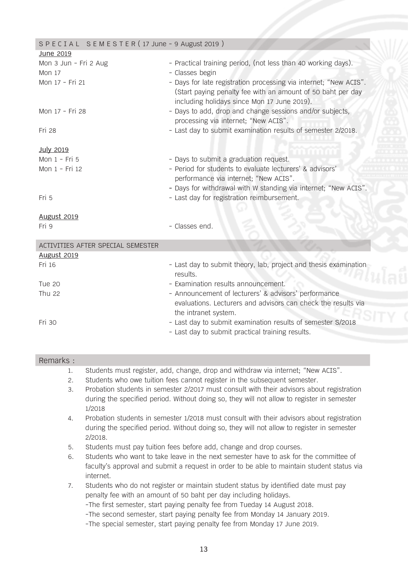| SPECIAL SEMESTER (17 June - 9 August 2019) |                                                                                                                                                                                 |
|--------------------------------------------|---------------------------------------------------------------------------------------------------------------------------------------------------------------------------------|
| June 2019                                  |                                                                                                                                                                                 |
| Mon 3 Jun - Fri 2 Aug<br><b>Mon 17</b>     | - Practical training period, (not less than 40 working days).<br>- Classes begin                                                                                                |
| Mon 17 - Fri 21                            | - Days for late registration processing via internet; "New ACIS".<br>(Start paying penalty fee with an amount of 50 baht per day<br>including holidays since Mon 17 June 2019). |
| Mon 17 - Fri 28                            | - Days to add, drop and change sessions and/or subjects,<br>processing via internet; "New ACIS".                                                                                |
| Fri 28                                     | - Last day to submit examination results of semester 2/2018.                                                                                                                    |
| <b>July 2019</b>                           |                                                                                                                                                                                 |
| Mon 1 - Fri 5                              | - Days to submit a graduation request.                                                                                                                                          |
| Mon 1 - Fri 12                             | - Period for students to evaluate lecturers' & advisors'<br>performance via internet; "New ACIS".<br>- Days for withdrawal with W standing via internet; "New ACIS".            |
| Fri 5                                      | - Last day for registration reimbursement.                                                                                                                                      |
| <b>August 2019</b>                         |                                                                                                                                                                                 |
| Fri 9                                      | - Classes end.                                                                                                                                                                  |
| ACTIVITIES AFTER SPECIAL SEMESTER          |                                                                                                                                                                                 |
| <b>August 2019</b>                         |                                                                                                                                                                                 |
| Fri 16                                     | - Last day to submit theory, lab, project and thesis examination<br>results.                                                                                                    |
| Tue 20                                     | - Examination results announcement.                                                                                                                                             |
| <b>Thu 22</b>                              | - Announcement of lecturers' & advisors' performance<br>evaluations. Lecturers and advisors can check the results via<br>the intranet system.                                   |
| Fri 30                                     | - Last day to submit examination results of semester S/2018<br>- Last day to submit practical training results.                                                                 |
| Remarks :                                  |                                                                                                                                                                                 |
|                                            | Students must register add change drop and withdraw via internet. "New ACTS"                                                                                                    |

- 1. Students must register, add, change, drop and withdraw via internet; "New ACIS".<br>2. Students who owe tuition fees cannot register in the subsequent semester. 2. Students who owe tuition fees cannot register in the subsequent semester.
- 3. Probation students in semester 2/2017 must consult with their advisors about registration during the specified period. Without doing so, they will not allow to register in semester 1/2018
- 4. Probation students in semester 1/2018 must consult with their advisors about registration during the specified period. Without doing so, they will not allow to register in semester 2/2018.
- 5. Students must pay tuition fees before add, change and drop courses.
- 6. Students who want to take leave in the next semester have to ask for the committee of faculty's approval and submit a request in order to be able to maintain student status via internet.
- 7. Students who do not register or maintain student status by identified date must pay penalty fee with an amount of 50 baht per day including holidays. -The first semester, start paying penalty fee from Tueday 14 August 2018. -The second semester, start paying penalty fee from Monday 14 January 2019. -The special semester, start paying penalty fee from Monday 17 June 2019.